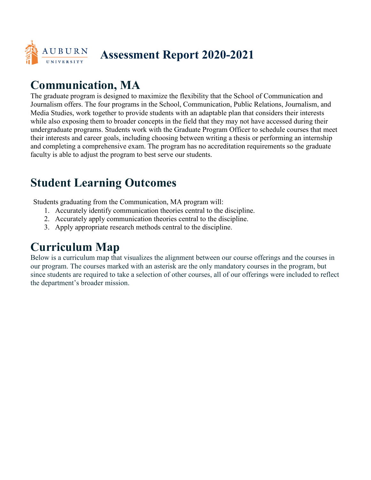

## **Assessment Report 2020-2021**

## **Communication, MA**

The graduate program is designed to maximize the flexibility that the School of Communication and Journalism offers. The four programs in the School, Communication, Public Relations, Journalism, and Media Studies, work together to provide students with an adaptable plan that considers their interests while also exposing them to broader concepts in the field that they may not have accessed during their undergraduate programs. Students work with the Graduate Program Officer to schedule courses that meet their interests and career goals, including choosing between writing a thesis or performing an internship and completing a comprehensive exam. The program has no accreditation requirements so the graduate faculty is able to adjust the program to best serve our students.

## **Student Learning Outcomes**

Students graduating from the Communication, MA program will:

- 1. Accurately identify communication theories central to the discipline.
- 2. Accurately apply communication theories central to the discipline.
- 3. Apply appropriate research methods central to the discipline.

## **Curriculum Map**

Below is a curriculum map that visualizes the alignment between our course offerings and the courses in our program. The courses marked with an asterisk are the only mandatory courses in the program, but since students are required to take a selection of other courses, all of our offerings were included to reflect the department's broader mission.